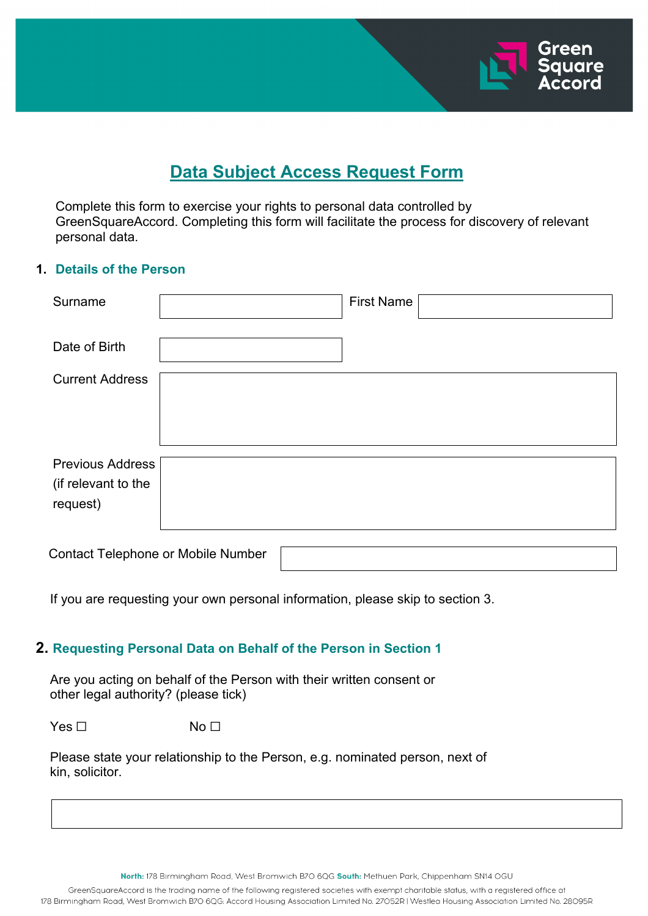

# **Data Subject Access Request Form**

Complete this form to exercise your rights to personal data controlled by GreenSquareAccord. Completing this form will facilitate the process for discovery of relevant personal data.

#### **1. Details of the Person**

| Surname                                                    |  | <b>First Name</b> |  |
|------------------------------------------------------------|--|-------------------|--|
| Date of Birth                                              |  |                   |  |
| <b>Current Address</b>                                     |  |                   |  |
| <b>Previous Address</b><br>(if relevant to the<br>request) |  |                   |  |
| <b>Contact Telephone or Mobile Number</b>                  |  |                   |  |

If you are requesting your own personal information, please skip to section 3.

## **2. Requesting Personal Data on Behalf of the Person in Section 1**

 Are you acting on behalf of the Person with their written consent or other legal authority? (please tick)

 $Yes \Box$  No  $\Box$ 

 Please state your relationship to the Person, e.g. nominated person, next of kin, solicitor.

North: 178 Birmingham Road, West Bromwich B7O 6QG South: Methuen Park, Chippenham SN14 OGU

GreenSquareAccord is the trading name of the following registered societies with exempt charitable status, with a registered office at 178 Birmingham Road, West Bromwich B7O 6QG: Accord Housing Association Limited No. 27052R | Westlea Housing Association Limited No. 28095R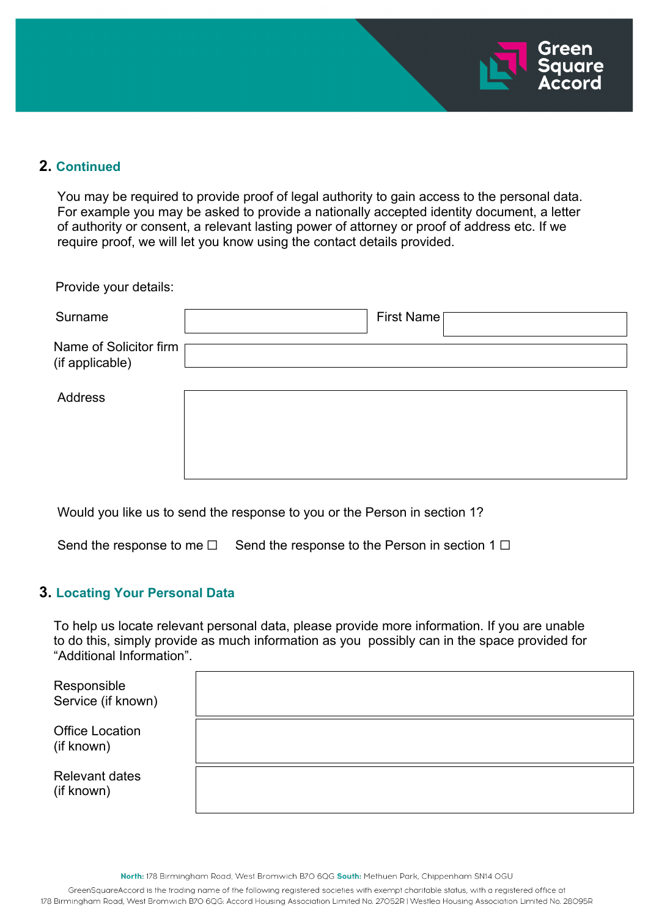

# **2. Continued**

 You may be required to provide proof of legal authority to gain access to the personal data. For example you may be asked to provide a nationally accepted identity document, a letter of authority or consent, a relevant lasting power of attorney or proof of address etc. If we require proof, we will let you know using the contact details provided.

Provide your details:

| Surname                                   | First Name |
|-------------------------------------------|------------|
| Name of Solicitor firm<br>(if applicable) |            |
| Address                                   |            |

Would you like us to send the response to you or the Person in section 1?

Send the response to me  $□$  Send the response to the Person in section 1  $□$ 

## **3. Locating Your Personal Data**

 To help us locate relevant personal data, please provide more information. If you are unable to do this, simply provide as much information as you possibly can in the space provided for "Additional Information".

| Responsible<br>Service (if known)    |  |
|--------------------------------------|--|
| <b>Office Location</b><br>(if known) |  |
| <b>Relevant dates</b><br>(if known)  |  |

North: 178 Birmingham Road, West Bromwich B7O 6QG South: Methuen Park, Chippenham SN14 OGU